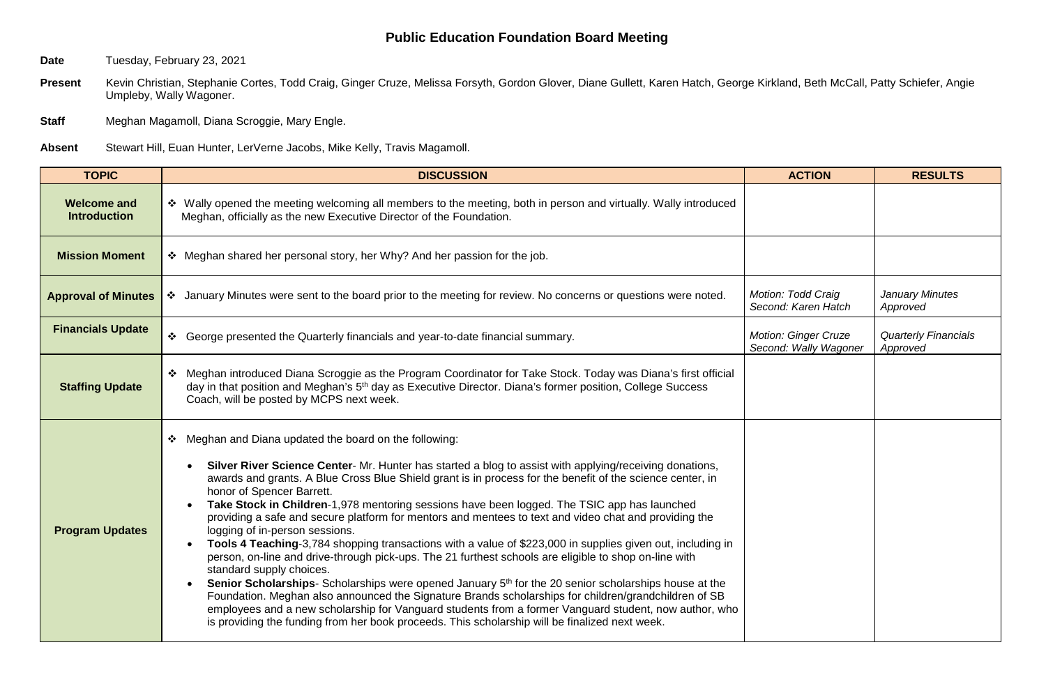## **Public Education Foundation Board Meeting**

**Date** Tuesday, February 23, 2021

Present Kevin Christian, Stephanie Cortes, Todd Craig, Ginger Cruze, Melissa Forsyth, Gordon Glover, Diane Gullett, Karen Hatch, George Kirkland, Beth McCall, Patty Schiefer, Angie Umpleby, Wally Wagoner.

**Staff** Meghan Magamoll, Diana Scroggie, Mary Engle.

**Absent** Stewart Hill, Euan Hunter, LerVerne Jacobs, Mike Kelly, Travis Magamoll.

| <b>TOPIC</b>                              | <b>DISCUSSION</b>                                                                                                                                                                                                                                                                                                                                                                                                                                                                                                                                                                                                                                                                                                                                                                                                                                                                                                                                                                                                                                                                                                                                                                                                                               | <b>ACTION</b>                                        | <b>RESULTS</b>                          |
|-------------------------------------------|-------------------------------------------------------------------------------------------------------------------------------------------------------------------------------------------------------------------------------------------------------------------------------------------------------------------------------------------------------------------------------------------------------------------------------------------------------------------------------------------------------------------------------------------------------------------------------------------------------------------------------------------------------------------------------------------------------------------------------------------------------------------------------------------------------------------------------------------------------------------------------------------------------------------------------------------------------------------------------------------------------------------------------------------------------------------------------------------------------------------------------------------------------------------------------------------------------------------------------------------------|------------------------------------------------------|-----------------------------------------|
| <b>Welcome and</b><br><b>Introduction</b> | ❖ Wally opened the meeting welcoming all members to the meeting, both in person and virtually. Wally introduced<br>Meghan, officially as the new Executive Director of the Foundation.                                                                                                                                                                                                                                                                                                                                                                                                                                                                                                                                                                                                                                                                                                                                                                                                                                                                                                                                                                                                                                                          |                                                      |                                         |
| <b>Mission Moment</b>                     | ❖ Meghan shared her personal story, her Why? And her passion for the job.                                                                                                                                                                                                                                                                                                                                                                                                                                                                                                                                                                                                                                                                                                                                                                                                                                                                                                                                                                                                                                                                                                                                                                       |                                                      |                                         |
| <b>Approval of Minutes</b>                | ❖ January Minutes were sent to the board prior to the meeting for review. No concerns or questions were noted.                                                                                                                                                                                                                                                                                                                                                                                                                                                                                                                                                                                                                                                                                                                                                                                                                                                                                                                                                                                                                                                                                                                                  | Motion: Todd Craig<br>Second: Karen Hatch            | January Minutes<br>Approved             |
| <b>Financials Update</b>                  | ❖ George presented the Quarterly financials and year-to-date financial summary.                                                                                                                                                                                                                                                                                                                                                                                                                                                                                                                                                                                                                                                                                                                                                                                                                                                                                                                                                                                                                                                                                                                                                                 | <b>Motion: Ginger Cruze</b><br>Second: Wally Wagoner | <b>Quarterly Financials</b><br>Approved |
| <b>Staffing Update</b>                    | ❖ Meghan introduced Diana Scroggie as the Program Coordinator for Take Stock. Today was Diana's first official<br>day in that position and Meghan's 5 <sup>th</sup> day as Executive Director. Diana's former position, College Success<br>Coach, will be posted by MCPS next week.                                                                                                                                                                                                                                                                                                                                                                                                                                                                                                                                                                                                                                                                                                                                                                                                                                                                                                                                                             |                                                      |                                         |
| <b>Program Updates</b>                    | * Meghan and Diana updated the board on the following:<br>Silver River Science Center- Mr. Hunter has started a blog to assist with applying/receiving donations,<br>awards and grants. A Blue Cross Blue Shield grant is in process for the benefit of the science center, in<br>honor of Spencer Barrett.<br>Take Stock in Children-1,978 mentoring sessions have been logged. The TSIC app has launched<br>providing a safe and secure platform for mentors and mentees to text and video chat and providing the<br>logging of in-person sessions.<br>Tools 4 Teaching-3,784 shopping transactions with a value of \$223,000 in supplies given out, including in<br>person, on-line and drive-through pick-ups. The 21 furthest schools are eligible to shop on-line with<br>standard supply choices.<br>Senior Scholarships-Scholarships were opened January 5 <sup>th</sup> for the 20 senior scholarships house at the<br>Foundation. Meghan also announced the Signature Brands scholarships for children/grandchildren of SB<br>employees and a new scholarship for Vanguard students from a former Vanguard student, now author, who<br>is providing the funding from her book proceeds. This scholarship will be finalized next week. |                                                      |                                         |